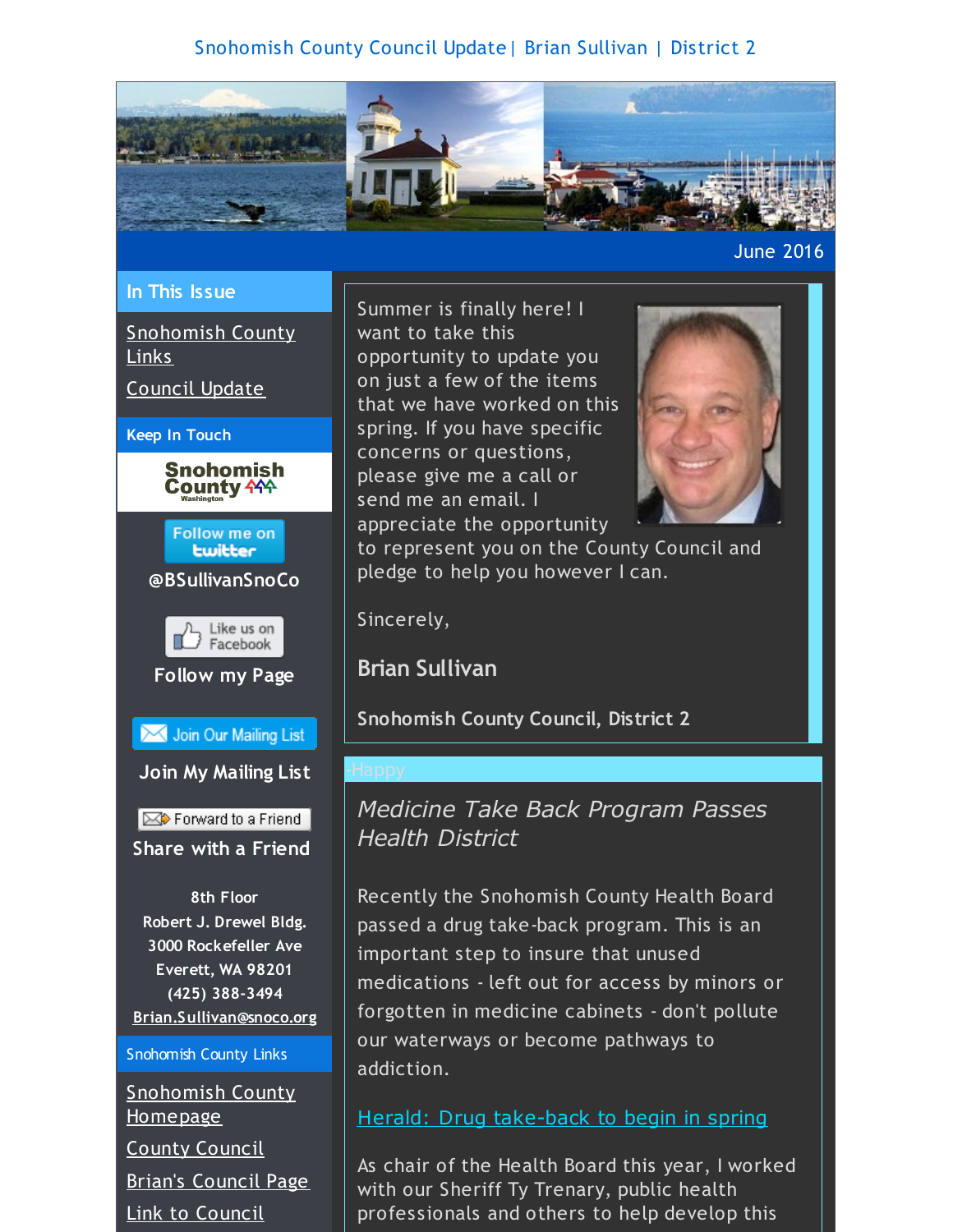## Snohomish County Council Update| Brian Sullivan | District 2

<span id="page-0-0"></span>

## June 2016

### **In This Issue**

[Snohomish](#page-0-0) County Links

[Council](#page-0-0) Update







## **@BSullivanSnoCo**



**Follow my Page**

Join Our Mailing List

**Join My Mailing List**

Forward to a Friend **Share with a Friend**

**8th Floor Robert J. Drewel Bldg. 3000 Rockefeller Ave Everett, WA 98201 (425) 388-3494 [Brian.Sullivan@snoco.org](mailto:Brian.Sullivan@snoco.org)**

### Snohomish County Links

[Snohomish](http://r20.rs6.net/tn.jsp?f=001TES_AznjzoFo-V_QdYgVb3GsC_WeIH-2O3ZDtClRbGL3E69V66rZeKR96zXRKbpKs17kxPuH1lH5xsMgnLkIC5arbkT2YBYqyq-Ss0lDQ98S_d15TPOmU8-JaRWomoe2DfwFA6XAir3-p4Qj8_zXmG70b9J2vBHSGguxYjZvN8zTy7NO6-bW42dDknxZAARcceBEZW0v6OWODseUaDV4MTo5XJ1389mcRNw0E4fTh9s2GgojNazt1ddEpWRa_LQlREx0rtniAlFffvmbugNA6Nyrr-3rwMsOGi0vAap5Fp76gV4odCPr6oK0YHUkaQzol8zeBXlfmgQKXVoEBsRsiA==&c=&ch=) County Homepage County [Council](http://r20.rs6.net/tn.jsp?f=001TES_AznjzoFo-V_QdYgVb3GsC_WeIH-2O3ZDtClRbGL3E69V66rZeLd-qNSPgUdf95gNwvj3sFXRk-W1CviaHxKm4rerNc9Up-3Wss889RBTbua3DilBzz1szezdLJdP1A-g2hY5BfyEIk-bAyRFR2LlC30QCBlSzim0vk_Ak5Ei9tH9jFawnClWalkZMyn-n2Xc1qC1t1WRlAQkou7qIw7qxUfDbpraYKiA6-_HzddC_JKMHr8JHj1aeHneXfN9Xw-4gPqazt5B4r7kIpo28PNyxM_beAm9nUwucFHW9JBzvMKr2RlqdGOwR-oJo6FzIGuMf1E3nzOW90_szjM3N_3P4Zg_dt03-b-pugLewULRUASiRxYgIbZiBpAo7m6r&c=&ch=) Brian's [Council](http://r20.rs6.net/tn.jsp?f=001TES_AznjzoFo-V_QdYgVb3GsC_WeIH-2O3ZDtClRbGL3E69V66rZeLd-qNSPgUdfUjcaMV4QKMRxhrbYmGgu1O_QhWBmBBWhsq_xYdQAwW_Es0ooornQmyvrEc0aqNHB_Cx7SFCliLTl_0CNjT7LlSsAmtJ9GmK39m9X1Fn9tSeHC-9lrY_L-qC7QZLtTZDM_bhgvnJcUerJhnyBlBycmpQLqsNEMAQHYQ1CSA5r6g7Lv4aTjmhConV7FQZP8gxxrryEM24az5pJIw2i-UJGAseBLkkwMhtnhq-T4UqtabJfCxs6SdSU5RQHou-CVH3jizjjCAg6VldIrTvhl_kqH7guV8Etz8ubqZ77LZ-pVrefLjnbx5tsa2ThSdHIAmiW&c=&ch=) Page Link to [Council](http://r20.rs6.net/tn.jsp?f=001TES_AznjzoFo-V_QdYgVb3GsC_WeIH-2O3ZDtClRbGL3E69V66rZePLbsef2DzAh2oGl0KnCubTdqbJiH5AmETitbRvvrKA8soCGDz7HOUkEi_n9W1f-Y6rujuutGYmrJ6_dKRfXwWSr6jBfA1GU10K80RYqAPi9W1tUmE_qA11wsGNhDM3SrwzT8sWrRUvXP7S5VPDJ8bLexiJ5AEBO5RyrAweNlx3kAG2r8KRMGJDv-bumjHGZU_xl81-WqpRpn0qB49JdRSvSXr6UgEw1CRKLPNf6SDzHsKoSM-Vb3oGZchYsR87x68eKoY2CR5J5-mzeP8Jp6ElP06nodmb6cn2FCpfSg3gUd1QmRV_x7B_QzjXcOCxYsiNtzsGTDlVxraRVRc2-zJc=&c=&ch=)

Summer is finally here! I want to take this opportunity to update you on just a few of the items that we have worked on this spring. If you have specific concerns or questions, please give me a call or send me an email. I appreciate the opportunity



to represent you on the County Council and pledge to help you however I can.

Sincerely,

**Brian Sullivan**

**Snohomish County Council, District 2**

# *Medicine Take Back Program Passes Health District*

Recently the Snohomish County Health Board passed a drug take-back program. This is an important step to insure that unused medications - left out for access by minors or forgotten in medicine cabinets - don't pollute our waterways or become pathways to addiction.

Herald: Drug [take-back](http://r20.rs6.net/tn.jsp?f=001TES_AznjzoFo-V_QdYgVb3GsC_WeIH-2O3ZDtClRbGL3E69V66rZeNjW973iJCe4Oyu_PkHxZpRBMXYFkI1EpVXB6PENNinM3_jEktJEwaYdIqTt4T6TgM7OXauKj3_AeCcs1imBmzBwFpKXR7x-aJJsJFIbf8p0xpoP-_GEfMB6z6UXqUg5qmia1_DmR5_i47KME6hSnyRbMverGxIaK_Ln3bJbNBynQrXPb_7M5cnsfRYQYJEnaDD69qROrZjwgiaBPWsG0lGea60dlQE7Mr-mEKyXN-N40HxlEm-ZDcN_vqAPrBOvb8LpJD0xtsjj1Kd2j2NJHQ72KLSpGhhGP2ywyDBIvx1nnmuyRPJf2H5yyhPV_4rvrQraqvldz6HygS4Eq3uR0imiAdQMurK0vA==&c=&ch=) to begin in spring

As chair of the Health Board this year, I worked with our Sheriff Ty Trenary, public health professionals and others to help develop this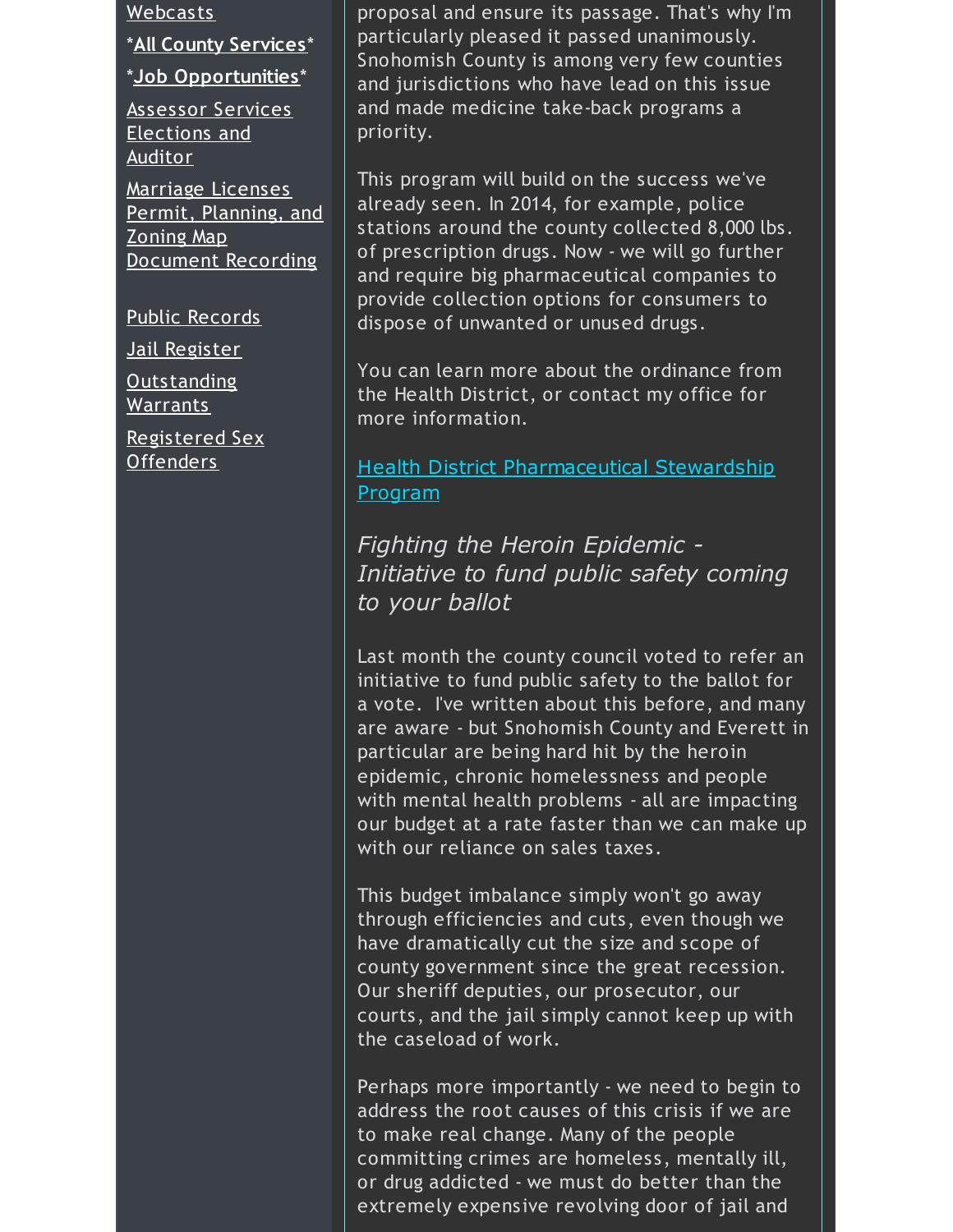Webcasts

\***All County [Services](http://r20.rs6.net/tn.jsp?f=001TES_AznjzoFo-V_QdYgVb3GsC_WeIH-2O3ZDtClRbGL3E69V66rZeLd-qNSPgUdf1E2vseytsPNdw1UG0RA8RGZIN7Rk_HfekyElKnysDWm8vVZkCCahXI6g-4U1tzyMn-oM2PNS8QbBLUaQy69aIqBU_c1Tj5DvyzsdfiDlUzY7-UhZxdJIaGbLhxoOpMEe8kDD3cD9id-eHmC7CsHjLvhyUG9Ef_WVJzqwvpCQEj2rwRH2SMOLu3epTuorfiS00KqV4RjAzenao8OpfARjafIKwSIYyg2jFqb0d0lOfWKCqpN5vOJP5fV4QEW5sIGamv-B0I2efdXEhOhcSBs_R4td57y4r-UtMCNDpj5To8l_mMf9JbypLw3Et6a8-ANo&c=&ch=)**\*

\***Job [Opportunities](http://r20.rs6.net/tn.jsp?f=001TES_AznjzoFo-V_QdYgVb3GsC_WeIH-2O3ZDtClRbGL3E69V66rZeLd-qNSPgUdfWBvJUmM2OQWC5t4p6kSROFqY-ny7P1_XnNt_4chqOaDlCSbh0g1MgfgbYa-XeJWveCCzQcO9UGr_3EYKXF1enRgIUfxlUtYA1snJMWTzU7t5nzq068rjTcfwlickUAeddjjeqaVebzxDlRxxid2NR4U4Q2N_xRqajAvC4LzFGtzF6kyWABhr7XRVwHjiIm3NEl-OJBMShWhc34DQZa0wpRUSCccS4CMeDhh3-VIG8eMtJ5lKYf4cMOGVgdgR2HW2JH26Ad5P_Bq9ec30wfaKG2P2RDZRFrRPuOKK61klhJWyqK9Sf839ggspUPkhVwG6&c=&ch=)**\*

[Assessor](http://r20.rs6.net/tn.jsp?f=001TES_AznjzoFo-V_QdYgVb3GsC_WeIH-2O3ZDtClRbGL3E69V66rZeLd-qNSPgUdfGZS0ZPgh2_xZutjqdMxs6psZVW0F1kUfv5u8CWcSf4Sv_xfpuZCNo11oNif0m72sGBH81McnsQ0-n2EUt1lVB0BG064StYGYI3o2IpWxsKpwFTt7GtXkj61JiQDSwC6LQiEz8i_t5z6c_NXPcqJK4fEnkziIrk7_kL5PbgfDw8i1rhkebGf9rILGYMRjkNytiPMvc4r5JHOS2EolL_zJesxz_mFGcC3JfPX5lOcypWeVrdJ841gFotDZN1NsX6w8REYr5kF-X6SBis__NB5xHc9hVtI-CAHP6w09TX1lFbXVHS5wNjoJ6g==&c=&ch=) Services [Elections](http://r20.rs6.net/tn.jsp?f=001TES_AznjzoFo-V_QdYgVb3GsC_WeIH-2O3ZDtClRbGL3E69V66rZeLd-qNSPgUdfcid0KcZ9n7cgZJXyHTmeMvK1IdTh4fquWD1Fwbaj-NvQp5eFayzPePqKdqDVvIuJsmufX9v0hAt4nMaSFKvcrwNs8fllvz5VMlMmmDhFWVYS8mzOFh2AwSZpvlKPE8XyJpVl1AdQJrSvsjpddjU0DmPzmkReX0apHvPBmLPcMTz0Ujfrn7nIG-cUj93TACe4bgHuQLCbJWfmJ8E_dJ3j3SE2yfLga9o0T2YbeCydxZ-3oAcm3xkPQ7KMkkqpv5UME2ZOpmqkA-OHMux054MGVYhWeBkAC9ZP6EXAc_kYDLnhVH_InZm2Cg==&c=&ch=) and Auditor

Marriage [Licenses](http://r20.rs6.net/tn.jsp?f=001TES_AznjzoFo-V_QdYgVb3GsC_WeIH-2O3ZDtClRbGL3E69V66rZeLd-qNSPgUdfGcGrgCYxAps2m4f3DZjUkqyNFbvk2SukUMF-405FAbr73W0czB8xHI8mTvKPIped-AGMOhjAmx_6IsMoxbSPr2Wpi5duyv7AjO8ZKh2yzh1NMjm7EG63YS691qy_3MkdyRrbXB8sZHInpulMyzptdj2y585zXAeokRUwMm-oRHgtZKFBzfexdhSVByElz5T96uDrOc98K4SaXxC2h6HSziq0b2JSDWmZNgKGKrJGykKlcboLCSYoNRgiZXNUWIg3BvgRwa6PX2x97SzorKVsxk7tRDHK8YgWob7e6Vy-aK01n3Ufk9AwiQ==&c=&ch=) Permit, [Planning,](http://r20.rs6.net/tn.jsp?f=001TES_AznjzoFo-V_QdYgVb3GsC_WeIH-2O3ZDtClRbGL3E69V66rZeBGIwCRuURWpjEFL1KPwUw1GSsXBZUJwnArBGbgV9Y-1tGtOw4q1rT1QKFYnC6Er1zLfBbkwt6Ti8S-Q7R8ZDSWQJPJTkIYmJTPBo45EjFvHqeTH71cgPKYiP4_waZ_7_XEGhrBGsYLoCJYeX5rho7Kgolm1Qk5ckH20QVuN68gVM6glpQyTsVscMMiO_PlhjzUHHyj1u6fk-64QB32rvai-YKghDM6Y8kx4v5tBD9OrLWJuxGrIFfwk07Em_mc8j-PK3dv_GTg81a-4ElEMYhzxB5Do1_CmLe6UIonieCGbp6R7JcV4cbiJSlOMzazgLA==&c=&ch=) and Zoning Map [Document](http://r20.rs6.net/tn.jsp?f=001TES_AznjzoFo-V_QdYgVb3GsC_WeIH-2O3ZDtClRbGL3E69V66rZeLd-qNSPgUdfK2dx3hZUpaWKr7gbwGRiOSzlYofL2EdDMl5q3UDnB3ieIRV0SEKYoqTX6ll_RXYAnGk7kj-ZGuAmi7t0fGLD18d0C1rc2P83pVRd9H3mqF8UamQP6nQTIllCHIYNLQcq33YiZ8fwzbJQs47PFXxK0hubZi0w6oqtP4ke7QYkbClGPCXUvii1ntvDd_xXm-47yARbZsW-opZJ728lFYNEmAsPB3n5xeuwNMQxDIbzf7R7fgukwFkb_vl1_dWhbrPY2w1UpCaT8c4K1kf86l95TuML1Edrq-2qiqy5sMwdktVokfkDij9cVWIWIT7KjC0u&c=&ch=) Recording

Public [Records](http://r20.rs6.net/tn.jsp?f=001TES_AznjzoFo-V_QdYgVb3GsC_WeIH-2O3ZDtClRbGL3E69V66rZeLd-qNSPgUdfqjaL2GFlJSUL4vJ4wbbTBHTrd81hJVYssM-rUlfDiMs26grrau-_TVFpvBQBgIqEPOKQ4H9RG6Qixn5B_BHx9HcZ33d57Y5wcuRDOED40SHgBz39af-pe_dzEhke9FeJxAkWE6Mp3Kh7rKoSWl8-LOxb4zHPM5NUJ5FYsClT9cMStKJpUeaI7dbjhJjC-ojlONbvEu77RicEVxNwwJHs3u7iOBG4TW-zlvtaSKA58LtZsG0JlGYVAZDqvPPtqQMi7VKF1XxyQQz-voUn5fd7Enb_uuGf8kJT3LCdtlxsEkz-JNUJYZ9a2CWpWzxh2SCc&c=&ch=)

Jail [Register](http://r20.rs6.net/tn.jsp?f=001TES_AznjzoFo-V_QdYgVb3GsC_WeIH-2O3ZDtClRbGL3E69V66rZeLd-qNSPgUdfVqzjzJ5pZBpKKk1r3yi8gyT5ZI5Qg8kOXS4QfAzzEtXg3Jz_h9lr5O67_ZNAIZ_tP2gUO7e16V-p-czhkCMaLRoWRg7DC8HcCP5CFBRiEE5P0y0C33GvigMJfWN1BaKVXaXxd_AAWkfCk6tgejxTZHdfUOAB3HkI0gIeWGMSsP9Anjc3HXDYYPa0aosImIcuu5xBmbsOZQy2irUr2qWASRc0kgfd-QF5QjpQaZZPblNjj3PkWXIgVQzQJDjbVISPGHNroeBYNUnzMXxvMdGaKKelBm5CdMz7Fgv3ze3nWacY58HyNN3nFbBYmUDfo8xB&c=&ch=)

[Outstanding](http://r20.rs6.net/tn.jsp?f=001TES_AznjzoFo-V_QdYgVb3GsC_WeIH-2O3ZDtClRbGL3E69V66rZeLd-qNSPgUdf1sVoiuiKZfaEQXXLM_Fi-MJzvb_Il4lvyyWG6EJEHVbJRWj_ABvPTvOZkKY_FFHC7kISwPZ068GhtLxewYDxCV3KcN10OkJCjxcw1Uyk7I8_7mjfBT6cUnBhBVtsgQGcy8Vsts6od5i0cAo7WZP-Pn2Z9KkjiCGa5iDOLH8CKxF7IIA6izAHsxaE81l5ZYvMoOu9WRh7LUVn3o5vdt2ykdrT5LRfaJrhHC2KUBxLitfMUkjUcBr_pVCL9kUD3ZK-WwxpNh1W5i4Zkg8OnAkPGqsjQAOSxQ4Bn2JenuUhngw0GjFNLeuPcUFZzF0x29-Q&c=&ch=) Warrants

[Registered](http://r20.rs6.net/tn.jsp?f=001TES_AznjzoFo-V_QdYgVb3GsC_WeIH-2O3ZDtClRbGL3E69V66rZeLd-qNSPgUdfkmesd3XOA0_Wr_EKE92nqJe6GdiAeMDsHTBD4ofQpqqErGduT40tosuLIIvmktvB2_IknFyrpzcb4C67nbOHrr0KMW1iY7pksO0_XJKFyaWip8wKc2jqLaXBlM_0bIijxPvWvtRhfJKJYQQM5ndv8phmKBDdqHeYgyD0rmUoId4BDgfprqxve57CUOy_WIrrpPx9g2-QVQPLjMFK0STJSZ-XXtViyworzlly-sRswJxqAul5BcGLGg-6zp8XPnIgm4AnaGMNbb2_nhBfpsQgsEKEEPCOHib05l64JoGbW4v7wFJaqwuG7KY5J6i9fpHecqOWWSs7HHo=&c=&ch=) Sex Offenders

proposal and ensure its passage. That's why I'm particularly pleased it passed unanimously. Snohomish County is among very few counties and jurisdictions who have lead on this issue and made medicine take-back programs a priority.

This program will build on the success we've already seen. In 2014, for example, police stations around the county collected 8,000 lbs. of prescription drugs. Now - we will go further and require big pharmaceutical companies to provide collection options for consumers to dispose of unwanted or unused drugs.

You can learn more about the ordinance from the Health District, or contact my office for more information.

**Health District [Pharmaceutical](http://r20.rs6.net/tn.jsp?f=001TES_AznjzoFo-V_QdYgVb3GsC_WeIH-2O3ZDtClRbGL3E69V66rZeNjW973iJCe4hDHa9YtDmaf7agkHykff7IjVFVEHpXX8d1f7URSM3sneYI2s2sOyHFF4THccPpXAcusZiO82Sd_Z7RgBw5ljwMwQPozqCX2OOvnA8bpwPp827UjYSUw41aIGp2QX5bPedEzcPsHdTCA2-1fJDP6iUYJIMF0-he5xU4Y9jhKqFTh1dC_T2TKuCmsGOfkT0jcOFPzJgH6OrUcevF5otiX3e7dakpEJOP2VeEmg2DHXQmixkRY5wYRU8Yzbfq31kYXJNxqC9y0WNOrqFpCE7xJVsn5qkiL_k3o2vT_sMCX46WWDdaMPjxdtHzRQ1DZJTYzWKs1wstHxRId5tpBlFxhh2_k580awvaYK&c=&ch=) Stewardship** Program

*Fighting the Heroin Epidemic - Initiative to fund public safety coming to your ballot*

Last month the county council voted to refer an initiative to fund public safety to the ballot for a vote. I've written about this before, and many are aware - but Snohomish County and Everett in particular are being hard hit by the heroin epidemic, chronic homelessness and people with mental health problems - all are impacting our budget at a rate faster than we can make up with our reliance on sales taxes.

This budget imbalance simply won't go away through efficiencies and cuts, even though we have dramatically cut the size and scope of county government since the great recession. Our sheriff deputies, our prosecutor, our courts, and the jail simply cannot keep up with the caseload of work.

Perhaps more importantly - we need to begin to address the root causes of this crisis if we are to make real change. Many of the people committing crimes are homeless, mentally ill, or drug addicted - we must do better than the extremely expensive revolving door of jail and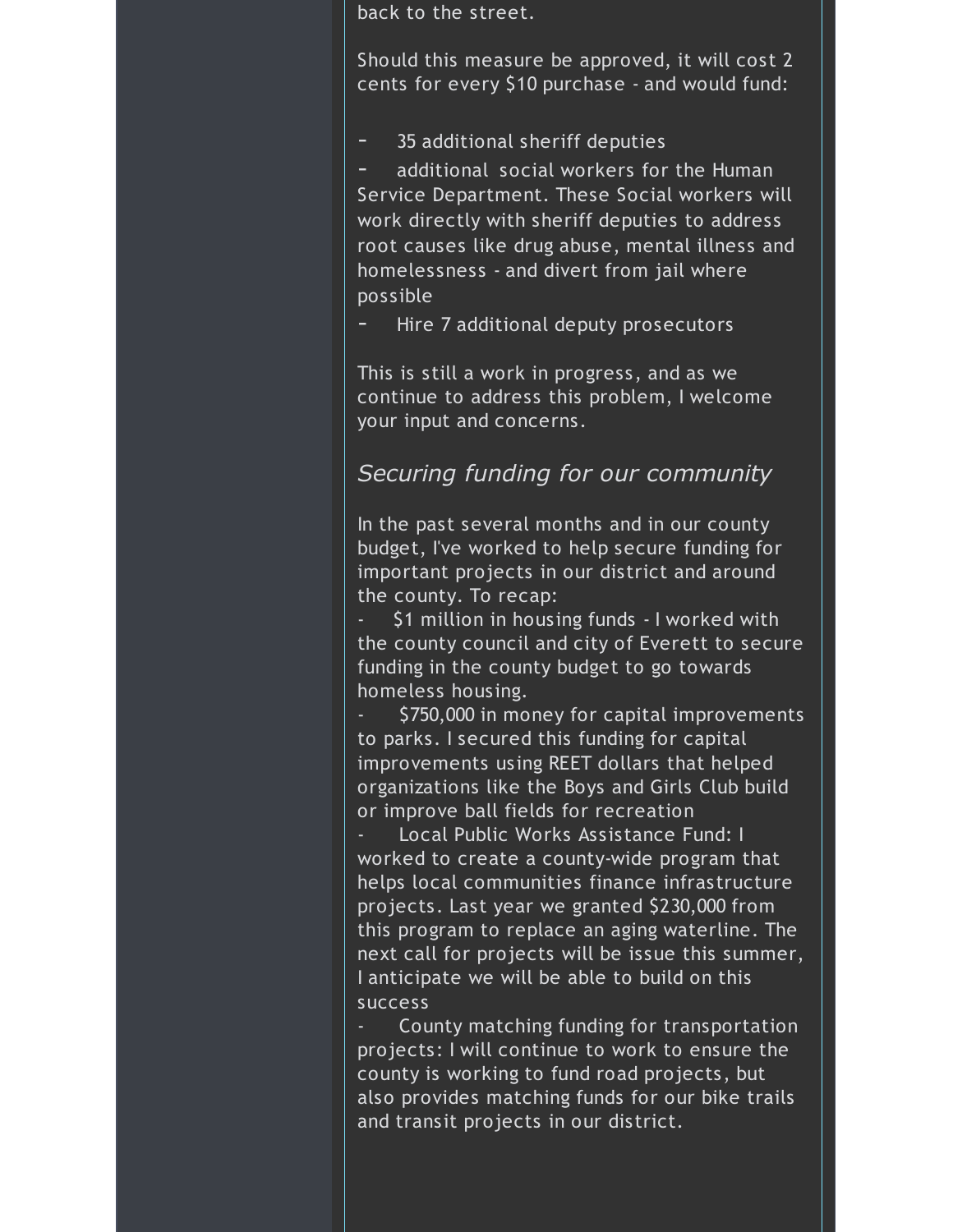back to the street.

Should this measure be approved, it will cost 2 cents for every \$10 purchase - and would fund:

- 35 additional sheriff deputies

additional social workers for the Human Service Department. These Social workers will work directly with sheriff deputies to address root causes like drug abuse, mental illness and homelessness - and divert from jail where possible

Hire 7 additional deputy prosecutors

This is still a work in progress, and as we continue to address this problem, I welcome your input and concerns.

# *Securing funding for our community*

In the past several months and in our county budget, I've worked to help secure funding for important projects in our district and around the county. To recap:

\$1 million in housing funds - I worked with the county council and city of Everett to secure funding in the county budget to go towards homeless housing.

- \$750,000 in money for capital improvements to parks. I secured this funding for capital improvements using REET dollars that helped organizations like the Boys and Girls Club build or improve ball fields for recreation

Local Public Works Assistance Fund: I worked to create a county-wide program that helps local communities finance infrastructure projects. Last year we granted \$230,000 from this program to replace an aging waterline. The next call for projects will be issue this summer, I anticipate we will be able to build on this success

County matching funding for transportation projects: I will continue to work to ensure the county is working to fund road projects, but also provides matching funds for our bike trails and transit projects in our district.